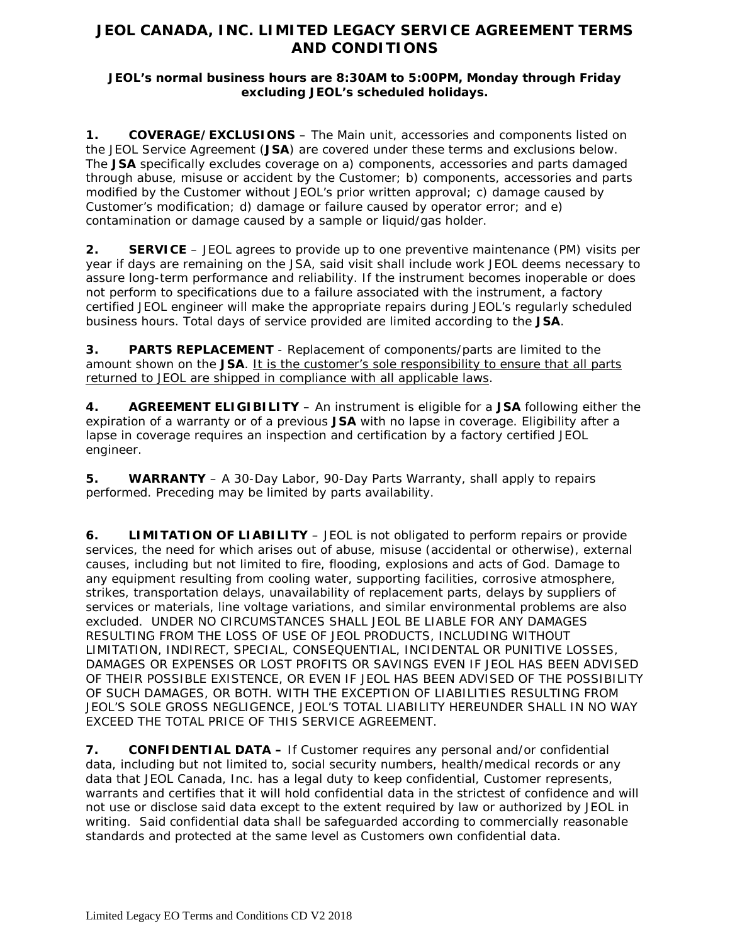## **JEOL CANADA, INC. LIMITED LEGACY SERVICE AGREEMENT TERMS AND CONDITIONS**

## **JEOL's normal business hours are 8:30AM to 5:00PM, Monday through Friday excluding JEOL's scheduled holidays.**

**1. COVERAGE/EXCLUSIONS** – The Main unit, accessories and components listed on the JEOL Service Agreement (**JSA**) are covered under these terms and exclusions below. The **JSA** specifically excludes coverage on a) components, accessories and parts damaged through abuse, misuse or accident by the Customer; b) components, accessories and parts modified by the Customer without JEOL's prior written approval; c) damage caused by Customer's modification; d) damage or failure caused by operator error; and e) contamination or damage caused by a sample or liquid/gas holder.

**2. SERVICE** – JEOL agrees to provide up to one preventive maintenance (PM) visits per year if days are remaining on the JSA, said visit shall include work JEOL deems necessary to assure long-term performance and reliability. If the instrument becomes inoperable or does not perform to specifications due to a failure associated with the instrument, a factory certified JEOL engineer will make the appropriate repairs during JEOL's regularly scheduled business hours. Total days of service provided are limited according to the **JSA**.

**3. PARTS REPLACEMENT** - Replacement of components/parts are limited to the amount shown on the **JSA**. It is the customer's sole responsibility to ensure that all parts returned to JEOL are shipped in compliance with all applicable laws.

**4. AGREEMENT ELIGIBILITY** – An instrument is eligible for a **JSA** following either the expiration of a warranty or of a previous **JSA** with no lapse in coverage. Eligibility after a lapse in coverage requires an inspection and certification by a factory certified JEOL engineer.

**5. WARRANTY** – A 30-Day Labor, 90-Day Parts Warranty, shall apply to repairs performed. Preceding may be limited by parts availability.

**6. LIMITATION OF LIABILITY** – JEOL is not obligated to perform repairs or provide services, the need for which arises out of abuse, misuse (accidental or otherwise), external causes, including but not limited to fire, flooding, explosions and acts of God. Damage to any equipment resulting from cooling water, supporting facilities, corrosive atmosphere, strikes, transportation delays, unavailability of replacement parts, delays by suppliers of services or materials, line voltage variations, and similar environmental problems are also excluded. UNDER NO CIRCUMSTANCES SHALL JEOL BE LIABLE FOR ANY DAMAGES RESULTING FROM THE LOSS OF USE OF JEOL PRODUCTS, INCLUDING WITHOUT LIMITATION, INDIRECT, SPECIAL, CONSEQUENTIAL, INCIDENTAL OR PUNITIVE LOSSES, DAMAGES OR EXPENSES OR LOST PROFITS OR SAVINGS EVEN IF JEOL HAS BEEN ADVISED OF THEIR POSSIBLE EXISTENCE, OR EVEN IF JEOL HAS BEEN ADVISED OF THE POSSIBILITY OF SUCH DAMAGES, OR BOTH. WITH THE EXCEPTION OF LIABILITIES RESULTING FROM JEOL'S SOLE GROSS NEGLIGENCE, JEOL'S TOTAL LIABILITY HEREUNDER SHALL IN NO WAY EXCEED THE TOTAL PRICE OF THIS SERVICE AGREEMENT.

**7. CONFIDENTIAL DATA –** If Customer requires any personal and/or confidential data, including but not limited to, social security numbers, health/medical records or any data that JEOL Canada, Inc. has a legal duty to keep confidential, Customer represents, warrants and certifies that it will hold confidential data in the strictest of confidence and will not use or disclose said data except to the extent required by law or authorized by JEOL in writing. Said confidential data shall be safeguarded according to commercially reasonable standards and protected at the same level as Customers own confidential data.